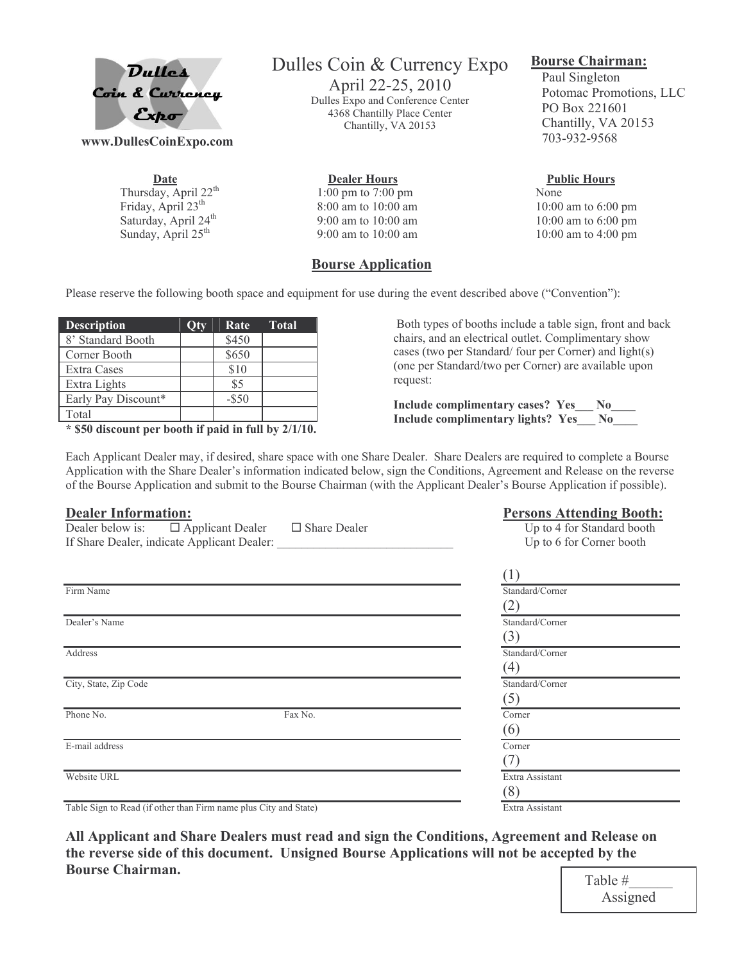

www.DullesCoinExpo.com

Date Thursday, April 22<sup>th</sup> Friday, April 23<sup>th</sup> Saturday, April 24<sup>th</sup> Sunday, April 25<sup>th</sup>

# Dulles Coin & Currency Expo

April 22-25, 2010 Dulles Expo and Conference Center 4368 Chantilly Place Center Chantilly, VA 20153

**Dealer Hours** 1:00 pm to 7:00 pm 8:00 am to 10:00 am 9:00 am to 10:00 am  $9:00$  am to  $10:00$  am

### **Bourse Application**

#### **Bourse Chairman:**

Paul Singleton Potomac Promotions, LLC PO Box 221601 Chantilly, VA 20153 703-932-9568

#### **Public Hours**

None 10:00 am to 6:00 pm 10:00 am to 6:00 pm 10:00 am to 4:00 pm

Persons Attending Rooth.

Please reserve the following booth space and equipment for use during the event described above ("Convention"):

| Otv | Rate     | Total |
|-----|----------|-------|
|     | \$450    |       |
|     | \$650    |       |
|     | \$10     |       |
|     | \$5      |       |
|     | $-$ \$50 |       |
|     |          |       |
|     |          |       |

 $*$  \$50 discount per booth if paid in full by  $2/1/10$ .

Both types of booths include a table sign, front and back chairs, and an electrical outlet. Complimentary show cases (two per Standard/four per Corner) and light(s) (one per Standard/two per Corner) are available upon request:

Include complimentary cases? Yes\_ No\_ Include complimentary lights? Yes No

Each Applicant Dealer may, if desired, share space with one Share Dealer. Share Dealers are required to complete a Bourse Application with the Share Dealer's information indicated below, sign the Conditions, Agreement and Release on the reverse of the Bourse Application and submit to the Bourse Chairman (with the Applicant Dealer's Bourse Application if possible).

#### Dealer Information.

| D'eurel mittelmuttelle                                                                  |                     | I ersons Tittenung Dootn.                              |
|-----------------------------------------------------------------------------------------|---------------------|--------------------------------------------------------|
| Dealer below is: $\Box$ Applicant Dealer<br>If Share Dealer, indicate Applicant Dealer: | $\Box$ Share Dealer | Up to 4 for Standard booth<br>Up to 6 for Corner booth |
|                                                                                         |                     |                                                        |
|                                                                                         |                     | (1)                                                    |
| Firm Name                                                                               |                     | Standard/Corner                                        |
|                                                                                         |                     | (2)                                                    |
| Dealer's Name                                                                           |                     | Standard/Corner                                        |
|                                                                                         |                     | (3)                                                    |
| Address                                                                                 |                     | Standard/Corner                                        |
|                                                                                         |                     | (4)                                                    |
| City, State, Zip Code                                                                   |                     | Standard/Corner                                        |
|                                                                                         |                     | (5)                                                    |
| Phone No.                                                                               | Fax No.             | Corner                                                 |
|                                                                                         |                     | (6)                                                    |
| E-mail address                                                                          |                     | Corner                                                 |
|                                                                                         |                     |                                                        |
| Website URL                                                                             |                     | Extra Assistant                                        |
|                                                                                         |                     | (8)                                                    |
| Table Sign to Read (if other than Firm name plus City and State)                        |                     | Extra Assistant                                        |

Table Sign to Read (if other than Firm name plus City and State)

All Applicant and Share Dealers must read and sign the Conditions, Agreement and Release on the reverse side of this document. Unsigned Bourse Applications will not be accepted by the **Bourse Chairman.**